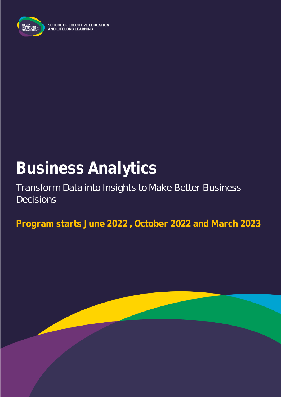

SCHOOL OF EXECUTIVE EDUCATION<br>AND LIFELONG LEARNING

# **Business Analytics**

Transform Data into Insights to Make Better Business Decisions

**Program starts June 2022 , October 2022 and March 2023**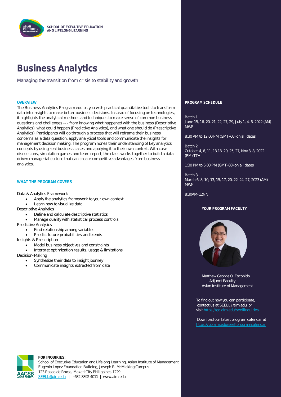

### **Business Analytics**

Managing the transition from crisis to stability and growth

The Business Analytics Program equips you with practical quantitative tools to transform data into insights to make better business decisions. Instead of focusing on technologies, it highlights the analytical methods and techniques to make sense of common business questions and challenges --- from knowing what happened with the business (Descriptive Analytics), what could happen (Predictive Analytics), and what one should do (Prescriptive Analytics). Participants will go through a process that will reframe their business concerns as a data question, apply analytical tools and communicate the insights for management decision making. The program hones their understanding of key analytics concepts by using real business cases and applying it to their own context. With case discussions, simulation games and team report, the class works together to build a datadriven managerial culture that can create competitive advantages from business analytics.

#### **WHAT THE PROGRAM COVERS**

Data & Analytics Framework

- Apply the analytics framework to your own context
- Learn how to visualize data
- Descriptive Analytics
	- Define and calculate descriptive statistics
	- Manage quality with statistical process controls
- Predictive Analytics
	- Find relationship among variables
	- Predict future probabilities and trends
- Insights & Prescription
	- Model business objectives and constraints
	- Interpret optimization results, usage & limitations
- Decision-Making
	- Synthesize their data to insight journey
		- Communicate insights extracted from data

#### **OVERVIEW PROGRAM SCHEDULE**

Batch 1: June 15, 16, 20, 21, 22, 27, 29, July 1, 4, 6, 2022 (AM) MWF

8:30 AM to 12:00 PM (GMT+08) on all dates

Batch 2: October 4, 6, 11, 13,18, 20, 25, 27, Nov 3, 8, 2022 (PM) TTH

1:30 PM to 5:00 PM (GMT+08) on all dates

Batch 3: March 6, 8, 10, 13, 15, 17, 20, 22, 24, 27, 2023 (AM) MWF

#### 8:30AM-12NN

#### **YOUR PROGRAM FACULTY**



Matthew George O. Escobido Adjunct Faculty Asian Institute of Management

 To find out how you can participate, contact us at SEELL@aim.edu or visi[t https://go.aim.edu/seellinquiries](https://go.aim.edu/seellinquiries)

Download our latest program calendar at



**FOR INQUIRIES:**

School of Executive Education and Lifelong Learning, Asian Institute of Management Eugenio Lopez Foundation Building, Joseph R. McMicking Campus 123 Paseo de Roxas, Makati City Philippines 1229 [SEELL@aim.edu](mailto:SEELL@aim.edu) | +632 8892 4011 | www.aim.edu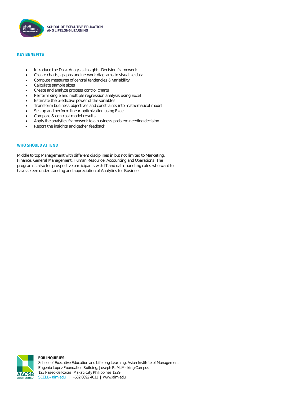

#### **KEY BENEFITS**

- Introduce the Data-Analysis-Insights-Decision framework
- Create charts, graphs and network diagrams to visualize data
- Compute measures of central tendencies & variability
- Calculate sample sizes
- Create and analyze process control charts
- Perform single and multiple regression analysis using Excel
- Estimate the predictive power of the variables
- Transform business objectives and constraints into mathematical model
- Set-up and perform linear optimization using Excel
- Compare & contrast model results
- Apply the analytics framework to a business problem needing decision
- Report the insights and gather feedback

#### **WHO SHOULD ATTEND**

Middle to top Management with different disciplines in but not limited to Marketing, Finance, General Management, Human Resource, Accounting and Operations. The program is also for prospective participants with IT and data-handling roles who want to have a keen understanding and appreciation of Analytics for Business.

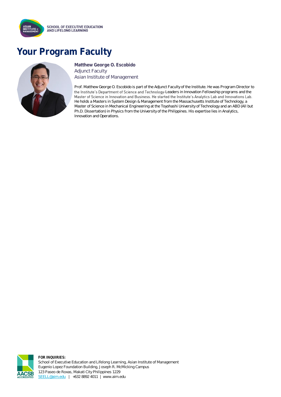

## **Your Program Faculty**



**Matthew George O. Escobido** Adjunct Faculty Asian Institute of Management

Prof. Matthew George O. Escobido is part of the Adjunct Faculty of the Institute. He was Program Director to the Institute's Department of Science and Technology-Leaders in Innovation Fellowship programs and the Master of Science in Innovation and Business. He started the Institute's Analytics Lab and Innovations Lab. He holds a Masters in System Design & Management from the Massachusetts Institute of Technology, a Master of Science in Mechanical Engineering at the Toyohashi University of Technology and an ABD (All but Ph.D. Dissertation) in Physics from the University of the Philippines. His expertise lies in Analytics, Innovation and Operations.



**FOR INQUIRIES:** School of Executive Education and Lifelong Learning, Asian Institute of Management Eugenio Lopez Foundation Building, Joseph R. McMicking Campus 123 Paseo de Roxas, Makati City Philippines 1229 [SEELL@aim.edu](mailto:SEELL@aim.edu) | +632 8892 4011 | www.aim.edu